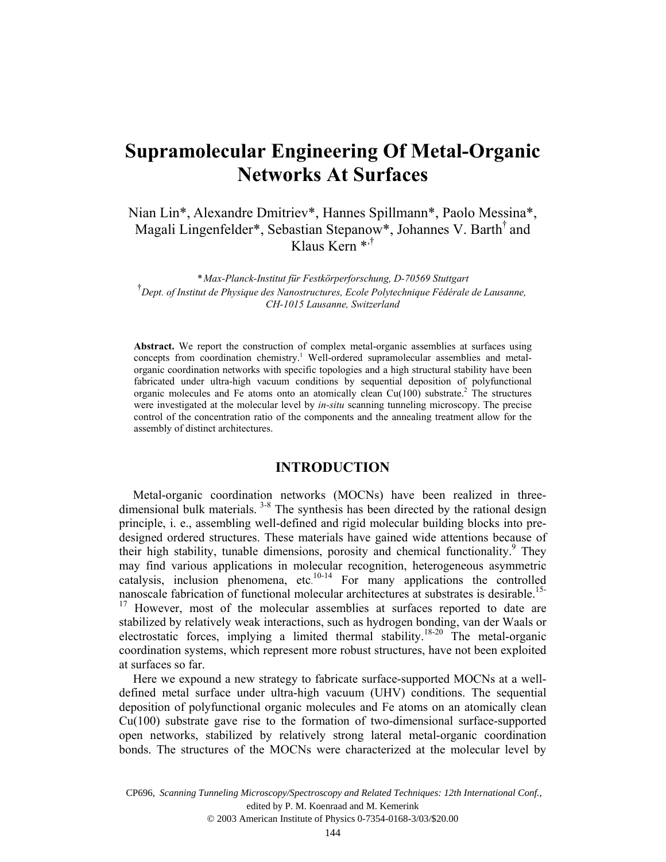# **Supramolecular Engineering Of Metal-Organic Networks At Surfaces**

Nian Lin\*, Alexandre Dmitriev\*, Hannes Spillmann\*, Paolo Messina\*, Magali Lingenfelder\*, Sebastian Stepanow\*, Johannes V. Barth† and Klaus Kern \*,†

*\* Max-Planck-Institut für Festkörperforschung, D-70569 Stuttgart*  † *Dept. of Institut de Physique des Nanostructures, Ecole Polytechnique Fédérale de Lausanne, CH-1015 Lausanne, Switzerland* 

**Abstract.** We report the construction of complex metal-organic assemblies at surfaces using concepts from coordination chemistry.<sup>1</sup> Well-ordered supramolecular assemblies and metalorganic coordination networks with specific topologies and a high structural stability have been fabricated under ultra-high vacuum conditions by sequential deposition of polyfunctional organic molecules and Fe atoms onto an atomically clean  $Cu(100)$  substrate.<sup>2</sup> The structures were investigated at the molecular level by *in-situ* scanning tunneling microscopy. The precise control of the concentration ratio of the components and the annealing treatment allow for the assembly of distinct architectures.

# **INTRODUCTION**

Metal-organic coordination networks (MOCNs) have been realized in threedimensional bulk materials.<sup>3-8</sup> The synthesis has been directed by the rational design principle, i. e., assembling well-defined and rigid molecular building blocks into predesigned ordered structures. These materials have gained wide attentions because of their high stability, tunable dimensions, porosity and chemical functionality.<sup>9</sup> They may find various applications in molecular recognition, heterogeneous asymmetric catalysis, inclusion phenomena, etc. 10-14 For many applications the controlled nanoscale fabrication of functional molecular architectures at substrates is desirable.<sup>15-</sup> <sup>17</sup> However, most of the molecular assemblies at surfaces reported to date are stabilized by relatively weak interactions, such as hydrogen bonding, van der Waals or electrostatic forces, implying a limited thermal stability.18-20 The metal-organic coordination systems, which represent more robust structures, have not been exploited at surfaces so far.

Here we expound a new strategy to fabricate surface-supported MOCNs at a welldefined metal surface under ultra-high vacuum (UHV) conditions. The sequential deposition of polyfunctional organic molecules and Fe atoms on an atomically clean Cu(100) substrate gave rise to the formation of two-dimensional surface-supported open networks, stabilized by relatively strong lateral metal-organic coordination bonds. The structures of the MOCNs were characterized at the molecular level by

CP696, *Scanning Tunneling Microscopy/Spectroscopy and Related Techniques: 12th International Conf.*,<br>edited by P. M. Koenraad and M. Kemerink<br>© 2003 American Institute of Physics 0-7354-0168-3/03/\$20.00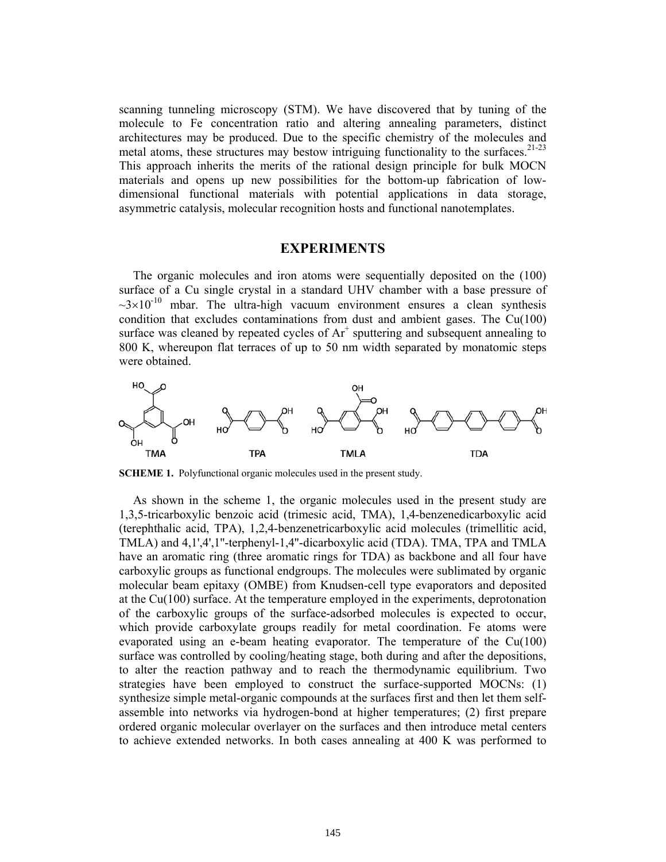scanning tunneling microscopy (STM). We have discovered that by tuning of the molecule to Fe concentration ratio and altering annealing parameters, distinct architectures may be produced. Due to the specific chemistry of the molecules and metal atoms, these structures may bestow intriguing functionality to the surfaces.<sup>21-23</sup> This approach inherits the merits of the rational design principle for bulk MOCN materials and opens up new possibilities for the bottom-up fabrication of lowdimensional functional materials with potential applications in data storage, asymmetric catalysis, molecular recognition hosts and functional nanotemplates.

#### **EXPERIMENTS**

The organic molecules and iron atoms were sequentially deposited on the (100) surface of a Cu single crystal in a standard UHV chamber with a base pressure of  $\sim$ 3×10<sup>-10</sup> mbar. The ultra-high vacuum environment ensures a clean synthesis condition that excludes contaminations from dust and ambient gases. The Cu(100) surface was cleaned by repeated cycles of  $Ar^+$  sputtering and subsequent annealing to 800 K, whereupon flat terraces of up to 50 nm width separated by monatomic steps were obtained.



**SCHEME 1.** Polyfunctional organic molecules used in the present study.

As shown in the scheme 1, the organic molecules used in the present study are 1,3,5-tricarboxylic benzoic acid (trimesic acid, TMA), 1,4-benzenedicarboxylic acid (terephthalic acid, TPA), 1,2,4-benzenetricarboxylic acid molecules (trimellitic acid, TMLA) and 4,1',4',1''-terphenyl-1,4''-dicarboxylic acid (TDA). TMA, TPA and TMLA have an aromatic ring (three aromatic rings for TDA) as backbone and all four have carboxylic groups as functional endgroups. The molecules were sublimated by organic molecular beam epitaxy (OMBE) from Knudsen-cell type evaporators and deposited at the  $Cu(100)$  surface. At the temperature employed in the experiments, deprotonation of the carboxylic groups of the surface-adsorbed molecules is expected to occur, which provide carboxylate groups readily for metal coordination. Fe atoms were evaporated using an e-beam heating evaporator. The temperature of the Cu(100) surface was controlled by cooling/heating stage, both during and after the depositions, to alter the reaction pathway and to reach the thermodynamic equilibrium. Two strategies have been employed to construct the surface-supported MOCNs: (1) synthesize simple metal-organic compounds at the surfaces first and then let them selfassemble into networks via hydrogen-bond at higher temperatures; (2) first prepare ordered organic molecular overlayer on the surfaces and then introduce metal centers to achieve extended networks. In both cases annealing at 400 K was performed to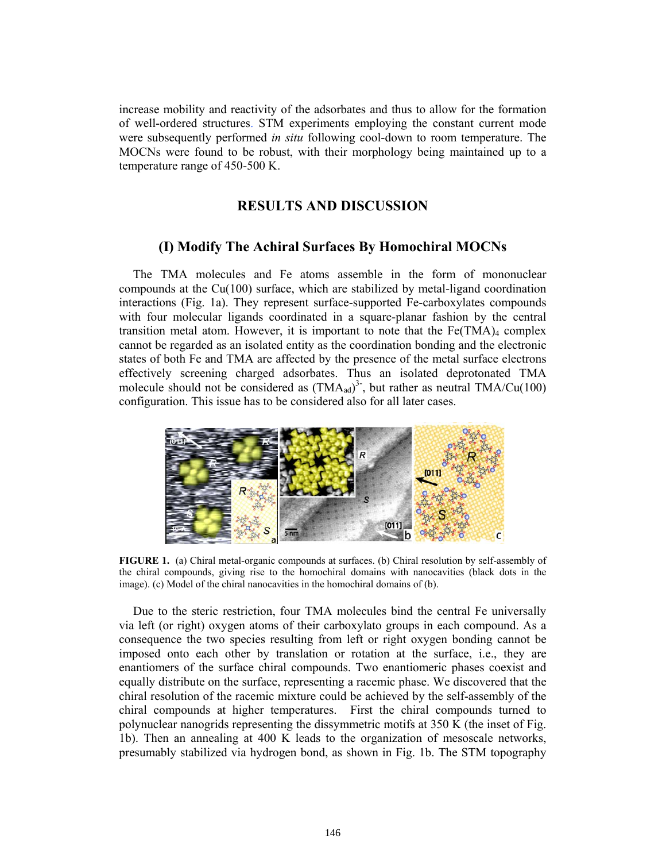increase mobility and reactivity of the adsorbates and thus to allow for the formation of well-ordered structures. STM experiments employing the constant current mode were subsequently performed *in situ* following cool-down to room temperature. The MOCNs were found to be robust, with their morphology being maintained up to a temperature range of 450-500 K.

#### **RESULTS AND DISCUSSION**

#### **(I) Modify The Achiral Surfaces By Homochiral MOCNs**

The TMA molecules and Fe atoms assemble in the form of mononuclear compounds at the Cu(100) surface, which are stabilized by metal-ligand coordination interactions (Fig. 1a). They represent surface-supported Fe-carboxylates compounds with four molecular ligands coordinated in a square-planar fashion by the central transition metal atom. However, it is important to note that the  $Fe(TMA)_4$  complex cannot be regarded as an isolated entity as the coordination bonding and the electronic states of both Fe and TMA are affected by the presence of the metal surface electrons effectively screening charged adsorbates. Thus an isolated deprotonated TMA molecule should not be considered as  $(TMA_{ad})^3$ , but rather as neutral TMA/Cu(100) configuration. This issue has to be considered also for all later cases.



**FIGURE 1.** (a) Chiral metal-organic compounds at surfaces. (b) Chiral resolution by self-assembly of the chiral compounds, giving rise to the homochiral domains with nanocavities (black dots in the image). (c) Model of the chiral nanocavities in the homochiral domains of (b).

Due to the steric restriction, four TMA molecules bind the central Fe universally via left (or right) oxygen atoms of their carboxylato groups in each compound. As a consequence the two species resulting from left or right oxygen bonding cannot be imposed onto each other by translation or rotation at the surface, i.e., they are enantiomers of the surface chiral compounds. Two enantiomeric phases coexist and equally distribute on the surface, representing a racemic phase. We discovered that the chiral resolution of the racemic mixture could be achieved by the self-assembly of the chiral compounds at higher temperatures. First the chiral compounds turned to polynuclear nanogrids representing the dissymmetric motifs at 350 K (the inset of Fig. 1b). Then an annealing at 400 K leads to the organization of mesoscale networks, presumably stabilized via hydrogen bond, as shown in Fig. 1b. The STM topography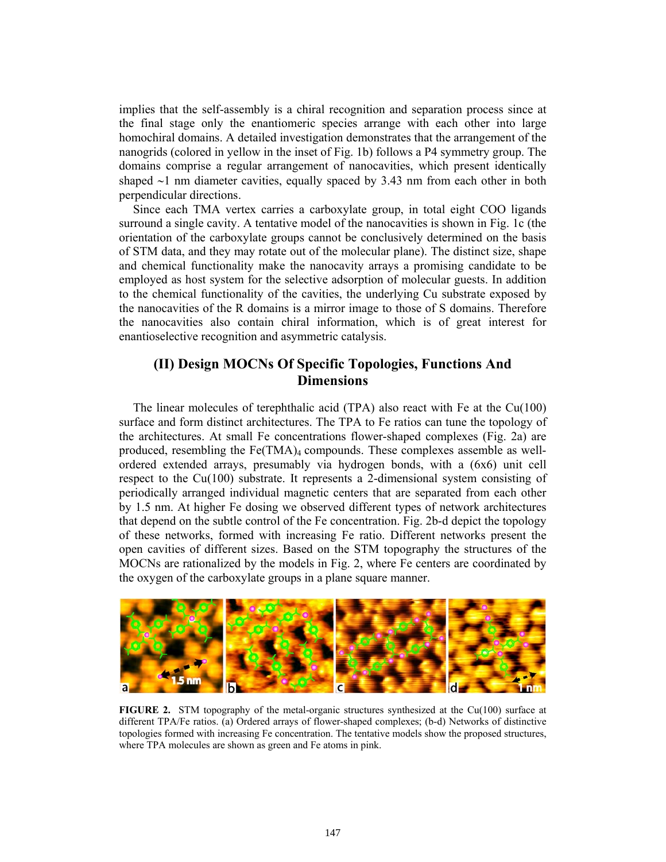implies that the self-assembly is a chiral recognition and separation process since at the final stage only the enantiomeric species arrange with each other into large homochiral domains. A detailed investigation demonstrates that the arrangement of the nanogrids (colored in yellow in the inset of Fig. 1b) follows a P4 symmetry group. The domains comprise a regular arrangement of nanocavities, which present identically shaped ∼1 nm diameter cavities, equally spaced by 3.43 nm from each other in both perpendicular directions.

Since each TMA vertex carries a carboxylate group, in total eight COO ligands surround a single cavity. A tentative model of the nanocavities is shown in Fig. 1c (the orientation of the carboxylate groups cannot be conclusively determined on the basis of STM data, and they may rotate out of the molecular plane). The distinct size, shape and chemical functionality make the nanocavity arrays a promising candidate to be employed as host system for the selective adsorption of molecular guests. In addition to the chemical functionality of the cavities, the underlying Cu substrate exposed by the nanocavities of the R domains is a mirror image to those of S domains. Therefore the nanocavities also contain chiral information, which is of great interest for enantioselective recognition and asymmetric catalysis.

# **(II) Design MOCNs Of Specific Topologies, Functions And Dimensions**

The linear molecules of terephthalic acid (TPA) also react with Fe at the Cu(100) surface and form distinct architectures. The TPA to Fe ratios can tune the topology of the architectures. At small Fe concentrations flower-shaped complexes (Fig. 2a) are produced, resembling the  $Fe(TMA)_4$  compounds. These complexes assemble as wellordered extended arrays, presumably via hydrogen bonds, with a (6x6) unit cell respect to the Cu(100) substrate. It represents a 2-dimensional system consisting of periodically arranged individual magnetic centers that are separated from each other by 1.5 nm. At higher Fe dosing we observed different types of network architectures that depend on the subtle control of the Fe concentration. Fig. 2b-d depict the topology of these networks, formed with increasing Fe ratio. Different networks present the open cavities of different sizes. Based on the STM topography the structures of the MOCNs are rationalized by the models in Fig. 2, where Fe centers are coordinated by the oxygen of the carboxylate groups in a plane square manner.



**FIGURE 2.** STM topography of the metal-organic structures synthesized at the Cu(100) surface at different TPA/Fe ratios. (a) Ordered arrays of flower-shaped complexes; (b-d) Networks of distinctive topologies formed with increasing Fe concentration. The tentative models show the proposed structures, where TPA molecules are shown as green and Fe atoms in pink.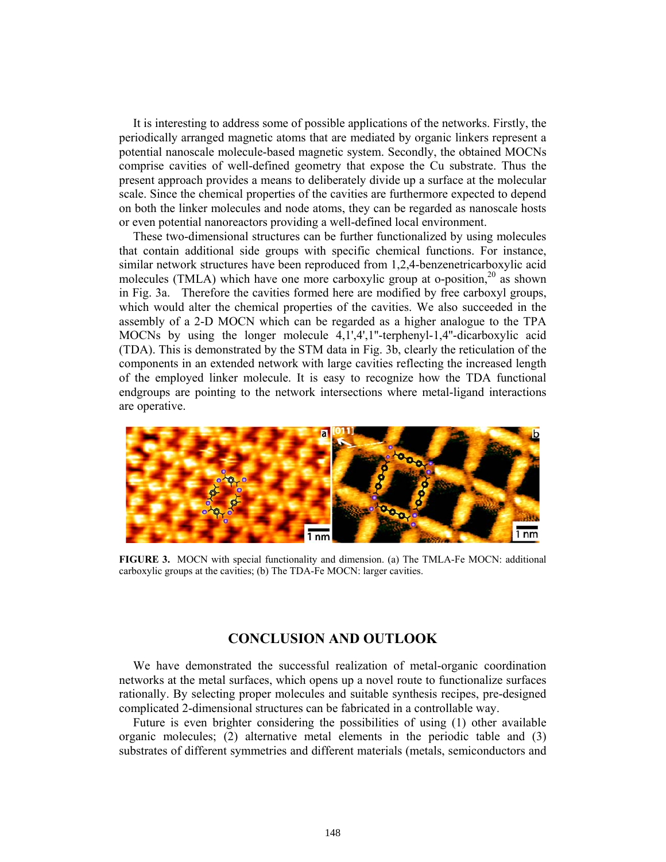It is interesting to address some of possible applications of the networks. Firstly, the periodically arranged magnetic atoms that are mediated by organic linkers represent a potential nanoscale molecule-based magnetic system. Secondly, the obtained MOCNs comprise cavities of well-defined geometry that expose the Cu substrate. Thus the present approach provides a means to deliberately divide up a surface at the molecular scale. Since the chemical properties of the cavities are furthermore expected to depend on both the linker molecules and node atoms, they can be regarded as nanoscale hosts or even potential nanoreactors providing a well-defined local environment.

These two-dimensional structures can be further functionalized by using molecules that contain additional side groups with specific chemical functions. For instance, similar network structures have been reproduced from 1,2,4-benzenetricarboxylic acid molecules (TMLA) which have one more carboxylic group at o-position,  $2^0$  as shown in Fig. 3a. Therefore the cavities formed here are modified by free carboxyl groups, which would alter the chemical properties of the cavities. We also succeeded in the assembly of a 2-D MOCN which can be regarded as a higher analogue to the TPA MOCNs by using the longer molecule 4,1',4',1''-terphenyl-1,4''-dicarboxylic acid (TDA). This is demonstrated by the STM data in Fig. 3b, clearly the reticulation of the components in an extended network with large cavities reflecting the increased length of the employed linker molecule. It is easy to recognize how the TDA functional endgroups are pointing to the network intersections where metal-ligand interactions are operative.



**FIGURE 3.** MOCN with special functionality and dimension. (a) The TMLA-Fe MOCN: additional carboxylic groups at the cavities; (b) The TDA-Fe MOCN: larger cavities.

### **CONCLUSION AND OUTLOOK**

We have demonstrated the successful realization of metal-organic coordination networks at the metal surfaces, which opens up a novel route to functionalize surfaces rationally. By selecting proper molecules and suitable synthesis recipes, pre-designed complicated 2-dimensional structures can be fabricated in a controllable way.

Future is even brighter considering the possibilities of using (1) other available organic molecules; (2) alternative metal elements in the periodic table and (3) substrates of different symmetries and different materials (metals, semiconductors and